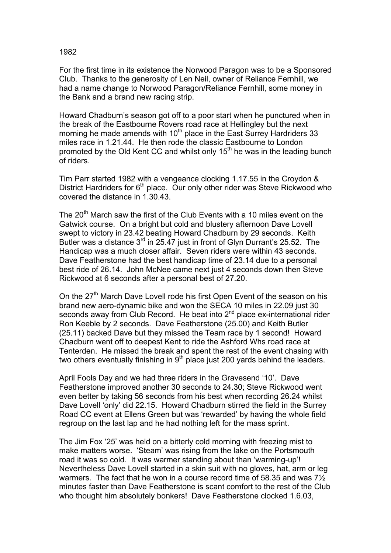1982

For the first time in its existence the Norwood Paragon was to be a Sponsored Club. Thanks to the generosity of Len Neil, owner of Reliance Fernhill, we had a name change to Norwood Paragon/Reliance Fernhill, some money in the Bank and a brand new racing strip.

Howard Chadburn's season got off to a poor start when he punctured when in the break of the Eastbourne Rovers road race at Hellingley but the next morning he made amends with 10<sup>th</sup> place in the East Surrey Hardriders 33 miles race in 1.21.44. He then rode the classic Eastbourne to London promoted by the Old Kent CC and whilst only  $15<sup>th</sup>$  he was in the leading bunch of riders.

Tim Parr started 1982 with a vengeance clocking 1.17.55 in the Croydon & District Hardriders for 6<sup>th</sup> place. Our only other rider was Steve Rickwood who covered the distance in 1.30.43.

The  $20<sup>th</sup>$  March saw the first of the Club Events with a 10 miles event on the Gatwick course. On a bright but cold and blustery afternoon Dave Lovell swept to victory in 23.42 beating Howard Chadburn by 29 seconds. Keith Butler was a distance  $3<sup>rd</sup>$  in 25.47 just in front of Glyn Durrant's 25.52. The Handicap was a much closer affair. Seven riders were within 43 seconds. Dave Featherstone had the best handicap time of 23.14 due to a personal best ride of 26.14. John McNee came next just 4 seconds down then Steve Rickwood at 6 seconds after a personal best of 27.20.

On the 27<sup>th</sup> March Dave Lovell rode his first Open Event of the season on his brand new aero-dynamic bike and won the SECA 10 miles in 22.09 just 30 seconds away from Club Record. He beat into 2<sup>nd</sup> place ex-international rider Ron Keeble by 2 seconds. Dave Featherstone (25.00) and Keith Butler (25.11) backed Dave but they missed the Team race by 1 second! Howard Chadburn went off to deepest Kent to ride the Ashford Whs road race at Tenterden. He missed the break and spent the rest of the event chasing with two others eventually finishing in  $9<sup>th</sup>$  place just 200 yards behind the leaders.

April Fools Day and we had three riders in the Gravesend '10'. Dave Featherstone improved another 30 seconds to 24.30; Steve Rickwood went even better by taking 56 seconds from his best when recording 26.24 whilst Dave Lovell 'only' did 22.15. Howard Chadburn stirred the field in the Surrey Road CC event at Ellens Green but was 'rewarded' by having the whole field regroup on the last lap and he had nothing left for the mass sprint.

The Jim Fox '25' was held on a bitterly cold morning with freezing mist to make matters worse. 'Steam' was rising from the lake on the Portsmouth road it was so cold. It was warmer standing about than 'warming-up'! Nevertheless Dave Lovell started in a skin suit with no gloves, hat, arm or leg warmers. The fact that he won in a course record time of 58.35 and was  $7\frac{1}{2}$ minutes faster than Dave Featherstone is scant comfort to the rest of the Club who thought him absolutely bonkers! Dave Featherstone clocked 1.6.03,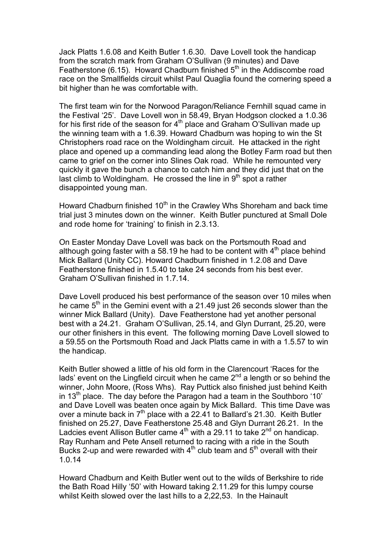Jack Platts 1.6.08 and Keith Butler 1.6.30. Dave Lovell took the handicap from the scratch mark from Graham O'Sullivan (9 minutes) and Dave Featherstone (6.15). Howard Chadburn finished 5<sup>th</sup> in the Addiscombe road race on the Smallfields circuit whilst Paul Quaglia found the cornering speed a bit higher than he was comfortable with.

The first team win for the Norwood Paragon/Reliance Fernhill squad came in the Festival '25'. Dave Lovell won in 58.49, Bryan Hodgson clocked a 1.0.36 for his first ride of the season for  $4<sup>th</sup>$  place and Graham O'Sullivan made up the winning team with a 1.6.39. Howard Chadburn was hoping to win the St Christophers road race on the Woldingham circuit. He attacked in the right place and opened up a commanding lead along the Botley Farm road but then came to grief on the corner into Slines Oak road. While he remounted very quickly it gave the bunch a chance to catch him and they did just that on the last climb to Woldingham. He crossed the line in  $9<sup>th</sup>$  spot a rather disappointed young man.

Howard Chadburn finished  $10<sup>th</sup>$  in the Crawley Whs Shoreham and back time trial just 3 minutes down on the winner. Keith Butler punctured at Small Dole and rode home for 'training' to finish in 2.3.13.

On Easter Monday Dave Lovell was back on the Portsmouth Road and although going faster with a 58.19 he had to be content with  $4<sup>th</sup>$  place behind Mick Ballard (Unity CC). Howard Chadburn finished in 1.2.08 and Dave Featherstone finished in 1.5.40 to take 24 seconds from his best ever. Graham O'Sullivan finished in 1.7.14.

Dave Lovell produced his best performance of the season over 10 miles when he came  $5<sup>th</sup>$  in the Gemini event with a 21.49 just 26 seconds slower than the winner Mick Ballard (Unity). Dave Featherstone had yet another personal best with a 24.21. Graham O'Sullivan, 25.14, and Glyn Durrant, 25.20, were our other finishers in this event. The following morning Dave Lovell slowed to a 59.55 on the Portsmouth Road and Jack Platts came in with a 1.5.57 to win the handicap.

Keith Butler showed a little of his old form in the Clarencourt 'Races for the lads' event on the Lingfield circuit when he came  $2<sup>nd</sup>$  a length or so behind the winner, John Moore, (Ross Whs). Ray Puttick also finished just behind Keith in 13<sup>th</sup> place. The day before the Paragon had a team in the Southboro '10' and Dave Lovell was beaten once again by Mick Ballard. This time Dave was over a minute back in  $7<sup>th</sup>$  place with a 22.41 to Ballard's 21.30. Keith Butler finished on 25.27, Dave Featherstone 25.48 and Glyn Durrant 26.21. In the Ladcies event Allison Butler came  $4<sup>th</sup>$  with a 29.11 to take  $2<sup>nd</sup>$  on handicap. Ray Runham and Pete Ansell returned to racing with a ride in the South Bucks 2-up and were rewarded with  $4<sup>th</sup>$  club team and  $5<sup>th</sup>$  overall with their 1.0.14

Howard Chadburn and Keith Butler went out to the wilds of Berkshire to ride the Bath Road Hilly '50' with Howard taking 2.11.29 for this lumpy course whilst Keith slowed over the last hills to a 2,22,53. In the Hainault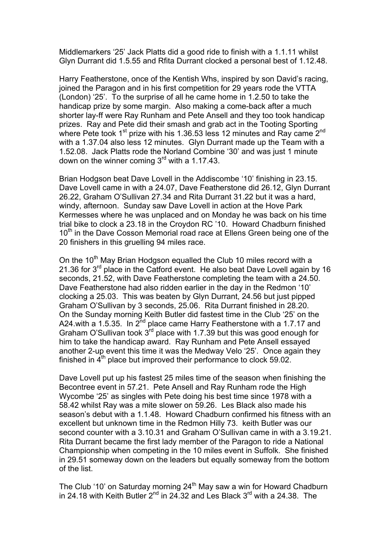Middlemarkers '25' Jack Platts did a good ride to finish with a 1.1.11 whilst Glyn Durrant did 1.5.55 and Rfita Durrant clocked a personal best of 1.12.48.

Harry Featherstone, once of the Kentish Whs, inspired by son David's racing, joined the Paragon and in his first competition for 29 years rode the VTTA (London) '25'. To the surprise of all he came home in 1.2.50 to take the handicap prize by some margin. Also making a come-back after a much shorter lay-ff were Ray Runham and Pete Ansell and they too took handicap prizes. Ray and Pete did their smash and grab act in the Tooting Sporting where Pete took 1<sup>st</sup> prize with his 1.36.53 less 12 minutes and Ray came 2<sup>nd</sup> with a 1.37.04 also less 12 minutes. Glyn Durrant made up the Team with a 1.52.08. Jack Platts rode the Norland Combine '30' and was just 1 minute down on the winner coming 3<sup>rd</sup> with a 1.17.43.

Brian Hodgson beat Dave Lovell in the Addiscombe '10' finishing in 23.15. Dave Lovell came in with a 24.07, Dave Featherstone did 26.12, Glyn Durrant 26.22, Graham O'Sullivan 27.34 and Rita Durrant 31.22 but it was a hard, windy, afternoon. Sunday saw Dave Lovell in action at the Hove Park Kermesses where he was unplaced and on Monday he was back on his time trial bike to clock a 23.18 in the Croydon RC '10. Howard Chadburn finished 10<sup>th</sup> in the Dave Cosson Memorial road race at Ellens Green being one of the 20 finishers in this gruelling 94 miles race.

On the 10<sup>th</sup> May Brian Hodgson equalled the Club 10 miles record with a 21.36 for  $3^{rd}$  place in the Catford event. He also beat Dave Lovell again by 16 seconds, 21.52, with Dave Featherstone completing the team with a 24.50. Dave Featherstone had also ridden earlier in the day in the Redmon '10' clocking a 25.03. This was beaten by Glyn Durrant, 24.56 but just pipped Graham O'Sullivan by 3 seconds, 25.06. Rita Durrant finished in 28.20. On the Sunday morning Keith Butler did fastest time in the Club '25' on the A24.with a 1.5.35. In  $2^{nd}$  place came Harry Featherstone with a 1.7.17 and Graham O'Sullivan took  $3<sup>rd</sup>$  place with 1.7.39 but this was good enough for him to take the handicap award. Ray Runham and Pete Ansell essayed another 2-up event this time it was the Medway Velo '25'. Once again they finished in  $4<sup>th</sup>$  place but improved their performance to clock 59.02.

Dave Lovell put up his fastest 25 miles time of the season when finishing the Becontree event in 57.21. Pete Ansell and Ray Runham rode the High Wycombe '25' as singles with Pete doing his best time since 1978 with a 58.42 whilst Ray was a mite slower on 59.26. Les Black also made his season's debut with a 1.1.48. Howard Chadburn confirmed his fitness with an excellent but unknown time in the Redmon Hilly 73. keith Butler was our second counter with a 3.10.31 and Graham O'Sullivan came in with a 3.19.21. Rita Durrant became the first lady member of the Paragon to ride a National Championship when competing in the 10 miles event in Suffolk. She finished in 29.51 someway down on the leaders but equally someway from the bottom of the list.

The Club '10' on Saturday morning 24<sup>th</sup> May saw a win for Howard Chadburn in 24.18 with Keith Butler  $2^{nd}$  in 24.32 and Les Black 3<sup>rd</sup> with a 24.38. The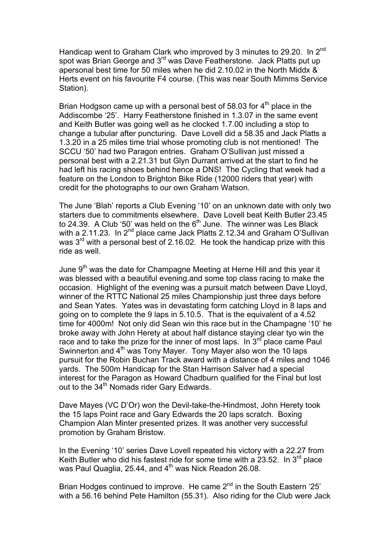Handicap went to Graham Clark who improved by 3 minutes to 29.20. In 2<sup>nd</sup> spot was Brian George and 3<sup>rd</sup> was Dave Featherstone. Jack Platts put up apersonal best time for 50 miles when he did 2.10.02 in the North Middx & Herts event on his favourite F4 course. (This was near South Mimms Service Station).

Brian Hodgson came up with a personal best of 58.03 for  $4<sup>th</sup>$  place in the Addiscombe '25'. Harry Featherstone finished in 1.3.07 in the same event and Keith Butler was going well as he clocked 1.7.00 including a stop to change a tubular after puncturing. Dave Lovell did a 58.35 and Jack Platts a 1.3.20 in a 25 miles time trial whose promoting club is not mentioned! The SCCU '50' had two Paragon entries. Graham O'Sullivan just missed a personal best with a 2.21.31 but Glyn Durrant arrived at the start to find he had left his racing shoes behind hence a DNS! The Cycling that week had a feature on the London to Brighton Bike Ride (12000 riders that year) with credit for the photographs to our own Graham Watson.

The June 'Blah' reports a Club Evening '10' on an unknown date with only two starters due to commitments elsewhere. Dave Lovell beat Keith Butler 23.45 to 24.39. A Club '50' was held on the  $6<sup>th</sup>$  June. The winner was Les Black with a 2.11.23. In  $2^{nd}$  place came Jack Platts 2.12.34 and Graham O'Sullivan was 3<sup>rd</sup> with a personal best of 2.16.02. He took the handicap prize with this ride as well.

June  $9<sup>th</sup>$  was the date for Champagne Meeting at Herne Hill and this year it was blessed with a beautiful evening.and some top class racing to make the occasion. Highlight of the evening was a pursuit match between Dave Lloyd, winner of the RTTC National 25 miles Championship just three days before and Sean Yates. Yates was in devastating form catching Lloyd in 8 laps and going on to complete the 9 laps in 5.10.5. That is the equivalent of a 4.52 time for 4000m! Not only did Sean win this race but in the Champagne '10' he broke away with John Herety at about half distance staying clear tyo win the race and to take the prize for the inner of most laps. In  $3<sup>rd</sup>$  place came Paul Swinnerton and  $4<sup>th</sup>$  was Tony Mayer. Tony Mayer also won the 10 laps pursuit for the Robin Buchan Track award with a distance of 4 miles and 1046 yards. The 500m Handicap for the Stan Harrison Salver had a special interest for the Paragon as Howard Chadburn qualified for the Final but lost out to the 34<sup>th</sup> Nomads rider Gary Edwards.

Dave Mayes (VC D'Or) won the Devil-take-the-Hindmost, John Herety took the 15 laps Point race and Gary Edwards the 20 laps scratch. Boxing Champion Alan Minter presented prizes. It was another very successful promotion by Graham Bristow.

In the Evening '10' series Dave Lovell repeated his victory with a 22.27 from Keith Butler who did his fastest ride for some time with a 23.52. In  $3^{\text{rd}}$  place was Paul Quaglia, 25.44, and 4<sup>th</sup> was Nick Readon 26.08.

Brian Hodges continued to improve. He came 2<sup>nd</sup> in the South Eastern '25' with a 56.16 behind Pete Hamilton (55.31). Also riding for the Club were Jack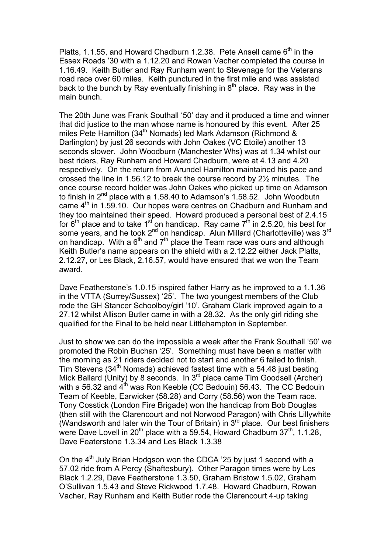Platts, 1.1.55, and Howard Chadburn 1.2.38. Pete Ansell came  $6<sup>th</sup>$  in the Essex Roads '30 with a 1.12.20 and Rowan Vacher completed the course in 1.16.49. Keith Butler and Ray Runham went to Stevenage for the Veterans road race over 60 miles. Keith punctured in the first mile and was assisted back to the bunch by Ray eventually finishing in  $8<sup>th</sup>$  place. Ray was in the main bunch.

The 20th June was Frank Southall '50' day and it produced a time and winner that did justice to the man whose name is honoured by this event. After 25 miles Pete Hamilton (34<sup>th</sup> Nomads) led Mark Adamson (Richmond & Darlington) by just 26 seconds with John Oakes (VC Etoile) another 13 seconds slower. John Woodburn (Manchester Whs) was at 1.34 whilst our best riders, Ray Runham and Howard Chadburn, were at 4.13 and 4.20 respectively. On the return from Arundel Hamilton maintained his pace and crossed the line in 1.56.12 to break the course record by 2½ minutes. The once course record holder was John Oakes who picked up time on Adamson to finish in 2<sup>nd</sup> place with a 1.58.40 to Adamson's 1.58.52. John Woodbutn came  $4<sup>th</sup>$  in 1.59.10. Our hopes were centres on Chadburn and Runham and they too maintained their speed. Howard produced a personal best of 2.4.15 for 6<sup>th</sup> place and to take 1<sup>st</sup> on handicap. Ray came 7<sup>th</sup> in 2.5.20, his best for some years, and he took 2<sup>nd</sup> on handicap. Alun Millard (Charlotteville) was 3<sup>rd</sup> on handicap. With a  $6<sup>th</sup>$  and  $7<sup>th</sup>$  place the Team race was ours and although Keith Butler's name appears on the shield with a 2.12.22 either Jack Platts, 2.12.27, or Les Black, 2.16.57, would have ensured that we won the Team award.

Dave Featherstone's 1.0.15 inspired father Harry as he improved to a 1.1.36 in the VTTA (Surrey/Sussex) '25'. The two youngest members of the Club rode the GH Stancer Schoolboy/girl '10'. Graham Clark improved again to a 27.12 whilst Allison Butler came in with a 28.32. As the only girl riding she qualified for the Final to be held near Littlehampton in September.

Just to show we can do the impossible a week after the Frank Southall '50' we promoted the Robin Buchan '25'. Something must have been a matter with the morning as 21 riders decided not to start and another 6 failed to finish. Tim Stevens (34<sup>th</sup> Nomads) achieved fastest time with a 54.48 just beating Mick Ballard (Unity) by 8 seconds. In 3<sup>rd</sup> place came Tim Goodsell (Archer) with a 56.32 and 4<sup>th</sup> was Ron Keeble (CC Bedouin) 56.43. The CC Bedouin Team of Keeble, Earwicker (58.28) and Corry (58.56) won the Team race. Tony Cosstick (London Fire Brigade) won the handicap from Bob Douglas (then still with the Clarencourt and not Norwood Paragon) with Chris Lillywhite (Wandsworth and later win the Tour of Britain) in  $3<sup>rd</sup>$  place. Our best finishers were Dave Lovell in 20<sup>th</sup> place with a 59.54, Howard Chadburn  $37<sup>th</sup>$ , 1.1.28, Dave Featerstone 1.3.34 and Les Black 1.3.38

On the  $4<sup>th</sup>$  July Brian Hodgson won the CDCA '25 by just 1 second with a 57.02 ride from A Percy (Shaftesbury). Other Paragon times were by Les Black 1.2.29, Dave Featherstone 1.3.50, Graham Bristow 1.5.02, Graham O'Sullivan 1.5.43 and Steve Rickwood 1.7.48. Howard Chadburn, Rowan Vacher, Ray Runham and Keith Butler rode the Clarencourt 4-up taking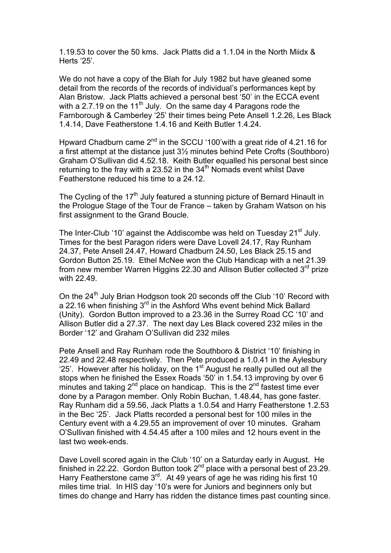1.19.53 to cover the 50 kms. Jack Platts did a 1.1.04 in the North Miidx & Herts '25'.

We do not have a copy of the Blah for July 1982 but have gleaned some detail from the records of the records of individual's performances kept by Alan Bristow. Jack Platts achieved a personal best '50' in the ECCA event with a 2.7.19 on the 11<sup>th</sup> July. On the same day 4 Paragons rode the Farnborough & Camberley '25' their times being Pete Ansell 1.2.26, Les Black 1.4.14, Dave Featherstone 1.4.16 and Keith Butler 1.4.24.

Hpward Chadburn came  $2^{nd}$  in the SCCU '100' with a great ride of 4.21.16 for a first attempt at the distance just 3½ minutes behind Pete Crofts (Southboro) Graham O'Sullivan did 4.52.18. Keith Butler equalled his personal best since returning to the fray with a 23.52 in the  $34<sup>th</sup>$  Nomads event whilst Dave Featherstone reduced his time to a 24.12.

The Cycling of the  $17<sup>th</sup>$  July featured a stunning picture of Bernard Hinault in the Prologue Stage of the Tour de France – taken by Graham Watson on his first assignment to the Grand Boucle.

The Inter-Club '10' against the Addiscombe was held on Tuesday 21<sup>st</sup> July. Times for the best Paragon riders were Dave Lovell 24.17, Ray Runham 24.37, Pete Ansell 24.47, Howard Chadburn 24.50, Les Black 25.15 and Gordon Button 25.19. Ethel McNee won the Club Handicap with a net 21.39 from new member Warren Higgins 22.30 and Allison Butler collected 3<sup>rd</sup> prize with 22.49.

On the 24<sup>th</sup> July Brian Hodgson took 20 seconds off the Club '10' Record with a 22.16 when finishing 3<sup>rd</sup> in the Ashford Whs event behind Mick Ballard (Unity). Gordon Button improved to a 23.36 in the Surrey Road CC '10' and Allison Butler did a 27.37. The next day Les Black covered 232 miles in the Border '12' and Graham O'Sullivan did 232 miles

Pete Ansell and Ray Runham rode the Southboro & District '10' finishing in 22.49 and 22.48 respectively. Then Pete produced a 1.0.41 in the Aylesbury '25'. However after his holiday, on the 1<sup>st</sup> August he really pulled out all the stops when he finished the Essex Roads '50' in 1.54.13 improving by over 6 minutes and taking  $2^{nd}$  place on handicap. This is the  $2^{nd}$  fastest time ever done by a Paragon member. Only Robin Buchan, 1.48.44, has gone faster. Ray Runham did a 59.56, Jack Platts a 1.0.54 and Harry Featherstone 1.2.53 in the Bec '25'. Jack Platts recorded a personal best for 100 miles in the Century event with a 4.29.55 an improvement of over 10 minutes. Graham O'Sullivan finished with 4.54.45 after a 100 miles and 12 hours event in the last two week-ends.

Dave Lovell scored again in the Club '10' on a Saturday early in August. He finished in 22.22. Gordon Button took 2<sup>nd</sup> place with a personal best of 23.29. Harry Featherstone came  $3<sup>rd</sup>$ . At 49 years of age he was riding his first 10 miles time trial. In HIS day '10's were for Juniors and beginners only but times do change and Harry has ridden the distance times past counting since.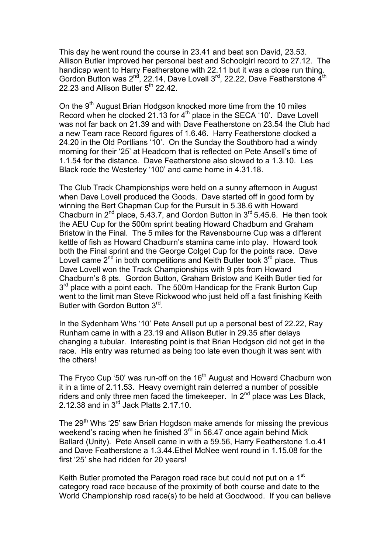This day he went round the course in 23.41 and beat son David, 23.53. Allison Butler improved her personal best and Schoolgirl record to 27.12. The handicap went to Harry Featherstone with 22.11 but it was a close run thing. Gordon Button was  $2^{nd}$ , 22.14, Dave Lovell  $3^{rd}$ , 22.22, Dave Featherstone  $\vec{4}^{th}$ 22.23 and Allison Butler  $5<sup>th</sup>$  22.42.

On the 9<sup>th</sup> August Brian Hodgson knocked more time from the 10 miles Record when he clocked 21.13 for 4<sup>th</sup> place in the SECA '10'. Dave Lovell was not far back on 21.39 and with Dave Featherstone on 23.54 the Club had a new Team race Record figures of 1.6.46. Harry Featherstone clocked a 24.20 in the Old Portlians '10'. On the Sunday the Southboro had a windy morning for their '25' at Headcorn that is reflected on Pete Ansell's time of 1.1.54 for the distance. Dave Featherstone also slowed to a 1.3.10. Les Black rode the Westerley '100' and came home in 4.31.18.

The Club Track Championships were held on a sunny afternoon in August when Dave Lovell produced the Goods. Dave started off in good form by winning the Bert Chapman Cup for the Pursuit in 5.38.6 with Howard Chadburn in  $2^{nd}$  place, 5.43.7, and Gordon Button in  $3^{rd}$  5.45.6. He then took the AEU Cup for the 500m sprint beating Howard Chadburn and Graham Bristow in the Final. The 5 miles for the Ravensbourne Cup was a different kettle of fish as Howard Chadburn's stamina came into play. Howard took both the Final sprint and the George Colget Cup for the points race. Dave Lovell came  $2^{nd}$  in both competitions and Keith Butler took  $3^{rd}$  place. Thus Dave Lovell won the Track Championships with 9 pts from Howard Chadburn's 8 pts. Gordon Button, Graham Bristow and Keith Butler tied for  $3<sup>rd</sup>$  place with a point each. The 500m Handicap for the Frank Burton Cup went to the limit man Steve Rickwood who just held off a fast finishing Keith Butler with Gordon Button 3rd.

In the Sydenham Whs '10' Pete Ansell put up a personal best of 22.22, Ray Runham came in with a 23.19 and Allison Butler in 29.35 after delays changing a tubular. Interesting point is that Brian Hodgson did not get in the race. His entry was returned as being too late even though it was sent with the others!

The Fryco Cup '50' was run-off on the 16<sup>th</sup> August and Howard Chadburn won it in a time of 2.11.53. Heavy overnight rain deterred a number of possible riders and only three men faced the timekeeper. In  $2<sup>nd</sup>$  place was Les Black, 2.12.38 and in  $3^{rd}$  Jack Platts 2.17.10.

The 29<sup>th</sup> Whs '25' saw Brian Hogdson make amends for missing the previous weekend's racing when he finished 3<sup>rd</sup> in 56.47 once again behind Mick Ballard (Unity). Pete Ansell came in with a 59.56, Harry Featherstone 1.o.41 and Dave Featherstone a 1.3.44.Ethel McNee went round in 1.15.08 for the first '25' she had ridden for 20 years!

Keith Butler promoted the Paragon road race but could not put on a 1<sup>st</sup> category road race because of the proximity of both course and date to the World Championship road race(s) to be held at Goodwood. If you can believe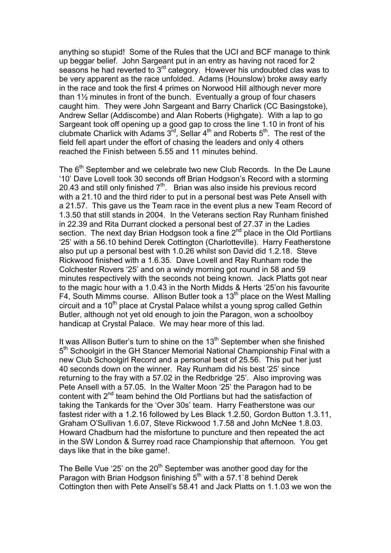anything so stupid! Some of the Rules that the UCI and BCF manage to think up beggar belief. John Sargeant put in an entry as having not raced for 2 seasons he had reverted to 3<sup>rd</sup> category. However his undoubted clas was to be very apparent as the race unfolded. Adams (Hounslow) broke away early in the race and took the first 4 primes on Norwood Hill although never more than 1½ minutes in front of the bunch. Eventually a group of four chasers caught him. They were John Sargeant and Barry Charlick (CC Basingstoke), Andrew Sellar (Addiscombe) and Alan Roberts (Highgate). With a lap to go Sargeant took off opening up a good gap to cross the line 1.10 in front of his clubmate Charlick with Adams  $3^{rd}$ , Sellar 4<sup>th</sup> and Roberts  $5^{th}$ . The rest of the field fell apart under the effort of chasing the leaders and only 4 others reached the Finish between 5.55 and 11 minutes behind.

The 6<sup>th</sup> September and we celebrate two new Club Records. In the De Laune '10' Dave Lovell took 30 seconds off Brian Hodgson's Record with a storming 20.43 and still only finished 7th. Brian was also inside his previous record with a 21.10 and the third rider to put in a personal best was Pete Ansell with a 21.57. This gave us the Team race in the event plus a new Team Record of 1.3.50 that still stands in 2004. In the Veterans section Ray Runham finished in 22.39 and Rita Durrant clocked a personal best of 27.37 in the Ladies section. The next day Brian Hodgson took a fine  $2<sup>nd</sup>$  place in the Old Portlians '25' with a 56.10 behind Derek Cottington (Charlotteville). Harry Featherstone also put up a personal best with 1.0.26 whilst son David did 1.2.18. Steve Rickwood finished with a 1.6.35. Dave Lovell and Ray Runham rode the Colchester Rovers '25' and on a windy morning got round in 58 and 59 minutes respectively with the seconds not being known. Jack Platts got near to the magic hour with a 1.0.43 in the North Midds & Herts '25'on his favourite F4, South Mimms course. Allison Butler took a  $13<sup>th</sup>$  place on the West Malling circuit and a 10<sup>th</sup> place at Crystal Palace whilst a young sprog called Gethin Butler, although not yet old enough to join the Paragon, won a schoolboy handicap at Crystal Palace. We may hear more of this lad.

It was Allison Butler's turn to shine on the  $13<sup>th</sup>$  September when she finished 5<sup>th</sup> Schoolgirl in the GH Stancer Memorial National Championship Final with a new Club Schoolgirl Record and a personal best of 25.56. This put her just 40 seconds down on the winner. Ray Runham did his best '25' since returning to the fray with a 57.02 in the Redbridge '25'. Also improving was Pete Ansell with a 57.05. In the Walter Moon '25' the Paragon had to be content with 2<sup>nd</sup> team behind the Old Portlians but had the satisfaction of taking the Tankards for the 'Over 30s' team. Harry Featherstone was our fastest rider with a 1.2.16 followed by Les Black 1.2.50, Gordon Button 1.3.11, Graham O'Sullivan 1.6.07, Steve Rickwood 1.7.58 and John McNee 1.8.03. Howard Chadburn had the misfortune to puncture and then repeated the act in the SW London & Surrey road race Championship that afternoon. You get days like that in the bike game!.

The Belle Vue '25' on the  $20<sup>th</sup>$  September was another good day for the Paragon with Brian Hodgson finishing  $5<sup>th</sup>$  with a 57.1`8 behind Derek Cottington then with Pete Ansell's 58.41 and Jack Platts on 1.1.03 we won the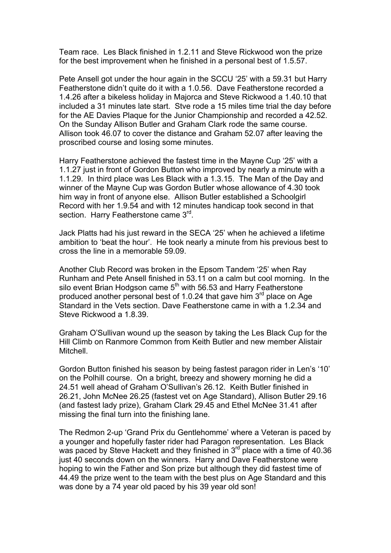Team race. Les Black finished in 1.2.11 and Steve Rickwood won the prize for the best improvement when he finished in a personal best of 1.5.57.

Pete Ansell got under the hour again in the SCCU '25' with a 59.31 but Harry Featherstone didn't quite do it with a 1.0.56. Dave Featherstone recorded a 1.4.26 after a bikeless holiday in Majorca and Steve Rickwood a 1.40.10 that included a 31 minutes late start. Stve rode a 15 miles time trial the day before for the AE Davies Plaque for the Junior Championship and recorded a 42.52. On the Sunday Allison Butler and Graham Clark rode the same course. Allison took 46.07 to cover the distance and Graham 52.07 after leaving the proscribed course and losing some minutes.

Harry Featherstone achieved the fastest time in the Mayne Cup '25' with a 1.1.27 just in front of Gordon Button who improved by nearly a minute with a 1.1.29. In third place was Les Black with a 1.3.15. The Man of the Day and winner of the Mayne Cup was Gordon Butler whose allowance of 4.30 took him way in front of anyone else. Allison Butler established a Schoolgirl Record with her 1.9.54 and with 12 minutes handicap took second in that section. Harry Featherstone came 3<sup>rd</sup>.

Jack Platts had his just reward in the SECA '25' when he achieved a lifetime ambition to 'beat the hour'. He took nearly a minute from his previous best to cross the line in a memorable 59.09.

Another Club Record was broken in the Epsom Tandem '25' when Ray Runham and Pete Ansell finished in 53.11 on a calm but cool morning. In the silo event Brian Hodgson came 5<sup>th</sup> with 56.53 and Harry Featherstone produced another personal best of 1.0.24 that gave him  $3<sup>rd</sup>$  place on Age Standard in the Vets section. Dave Featherstone came in with a 1.2.34 and Steve Rickwood a 1.8.39.

Graham O'Sullivan wound up the season by taking the Les Black Cup for the Hill Climb on Ranmore Common from Keith Butler and new member Alistair Mitchell.

Gordon Button finished his season by being fastest paragon rider in Len's '10' on the Polhill course. On a bright, breezy and showery morning he did a 24.51 well ahead of Graham O'Sullivan's 26.12. Keith Butler finished in 26.21, John McNee 26.25 (fastest vet on Age Standard), Allison Butler 29.16 (and fastest lady prize), Graham Clark 29.45 and Ethel McNee 31.41 after missing the final turn into the finishing lane.

The Redmon 2-up 'Grand Prix du Gentlehomme' where a Veteran is paced by a younger and hopefully faster rider had Paragon representation. Les Black was paced by Steve Hackett and they finished in  $3<sup>rd</sup>$  place with a time of 40.36 just 40 seconds down on the winners. Harry and Dave Featherstone were hoping to win the Father and Son prize but although they did fastest time of 44.49 the prize went to the team with the best plus on Age Standard and this was done by a 74 year old paced by his 39 year old son!